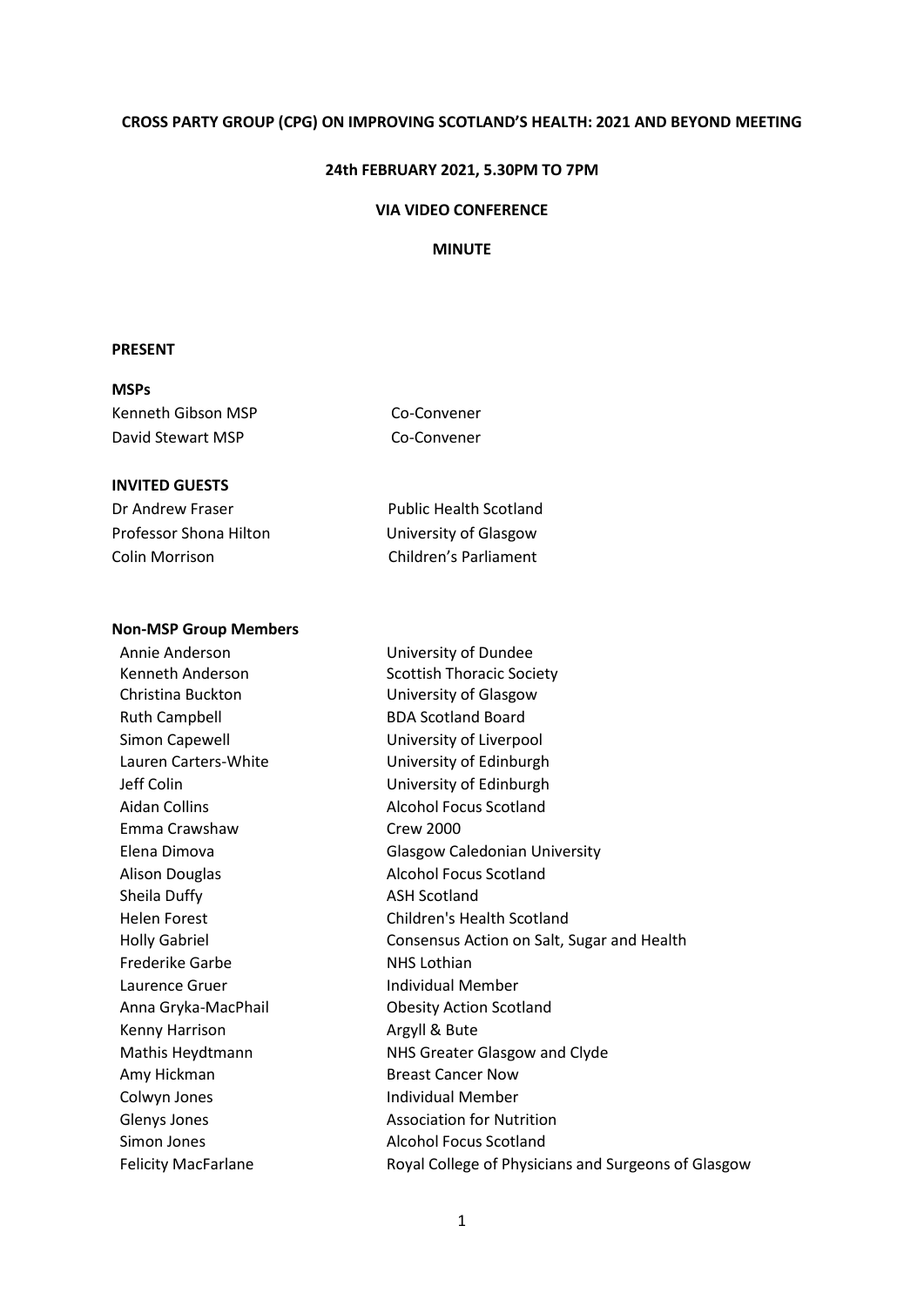### **CROSS PARTY GROUP (CPG) ON IMPROVING SCOTLAND'S HEALTH: 2021 AND BEYOND MEETING**

#### **24th FEBRUARY 2021, 5.30PM TO 7PM**

#### **VIA VIDEO CONFERENCE**

## **MINUTE**

### **PRESENT**

## **MSPs**

Kenneth Gibson MSP Co-Convener David Stewart MSP Co-Convener

## **INVITED GUESTS**

| Dr Andrew Fraser       | <b>Public Health Scotland</b> |
|------------------------|-------------------------------|
| Professor Shona Hilton | University of Glasgow         |
| Colin Morrison         | Children's Parliament         |

#### **Non-MSP Group Members**

Annie Anderson University of Dundee Kenneth Anderson Scottish Thoracic Society Christina Buckton University of Glasgow Ruth Campbell BDA Scotland Board Simon Capewell **Example 2** University of Liverpool Lauren Carters-White **University of Edinburgh** Jeff Colin University of Edinburgh Aidan Collins **Alcohol Focus Scotland** Emma Crawshaw Crew 2000 Alison Douglas **Alcohol Focus Scotland** Sheila Duffy **ASH Scotland** Frederike Garbe NHS Lothian Laurence Gruer **Individual Member** Anna Gryka-MacPhail Obesity Action Scotland Kenny Harrison **Argyll & Bute** Amy Hickman Breast Cancer Now Colwyn Jones **Individual Member** Glenys Jones **Association** for Nutrition Simon Jones **Alcohol Focus Scotland** 

Elena Dimova Glasgow Caledonian University Helen Forest Children's Health Scotland Holly Gabriel **Consensus Action on Salt, Sugar and Health** Mathis Heydtmann NHS Greater Glasgow and Clyde Felicity MacFarlane **Royal College of Physicians and Surgeons of Glasgow**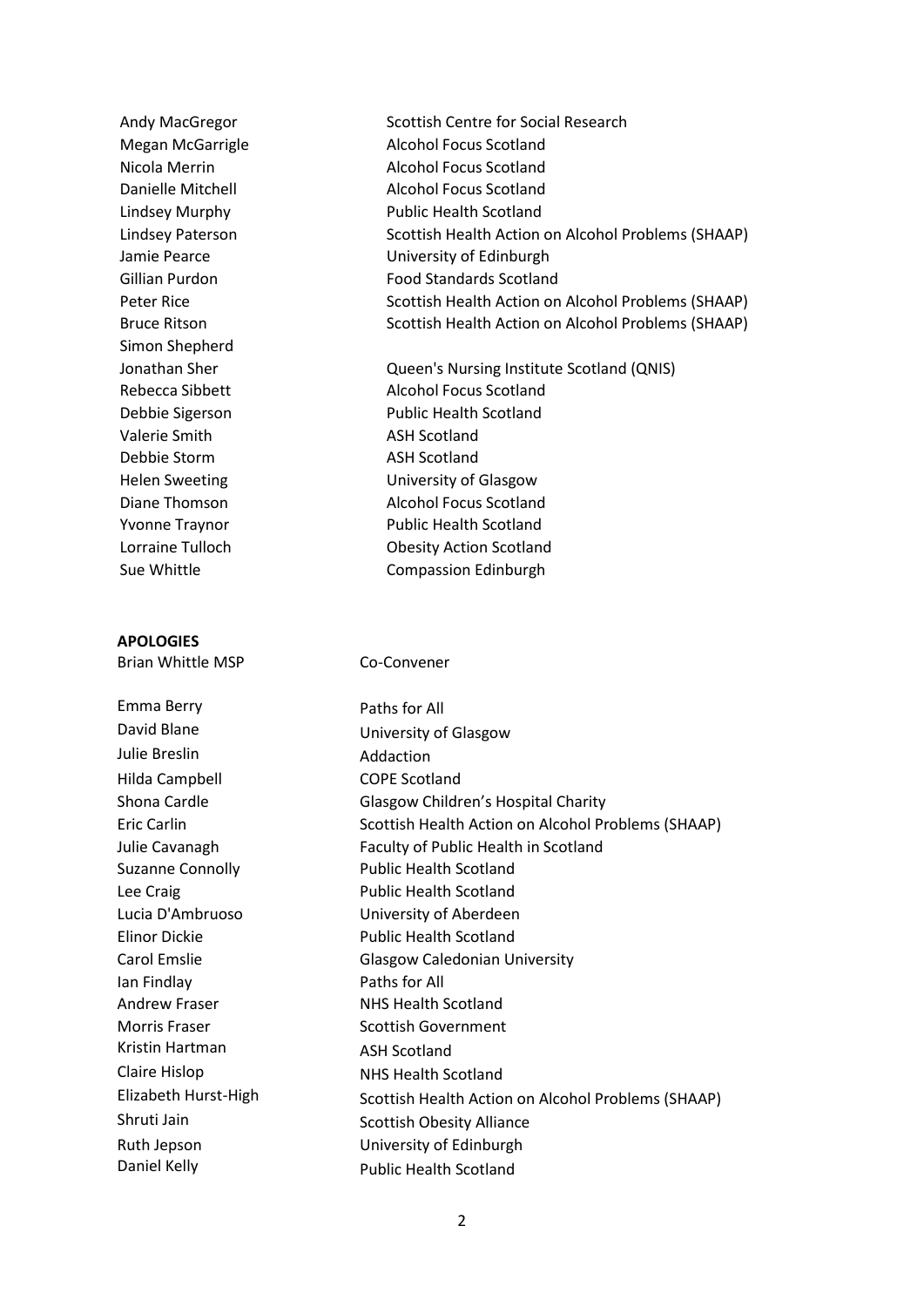Simon Shepherd Valerie Smith ASH Scotland Debbie Storm ASH Scotland

### **APOLOGIES**

Emma Berry **Paths for All** Julie Breslin **Addaction** Hilda Campbell COPE Scotland Ian Findlay **Paths for All** Andrew Fraser NHS Health Scotland Morris Fraser Scottish Government Kristin Hartman ASH Scotland Claire Hislop NHS Health Scotland

Andy MacGregor Scottish Centre for Social Research Megan McGarrigle **Alcohol Focus Scotland** Nicola Merrin Alcohol Focus Scotland Danielle Mitchell **Alcohol Focus Scotland** Lindsey Murphy Public Health Scotland Lindsey Paterson Scottish Health Action on Alcohol Problems (SHAAP) Jamie Pearce University of Edinburgh Gillian Purdon **Food Standards Scotland** Peter Rice Scottish Health Action on Alcohol Problems (SHAAP) Bruce Ritson Scottish Health Action on Alcohol Problems (SHAAP)

- Jonathan Sher Queen's Nursing Institute Scotland (QNIS) Rebecca Sibbett Alcohol Focus Scotland Debbie Sigerson Public Health Scotland Helen Sweeting University of Glasgow Diane Thomson **Alcohol Focus Scotland** Yvonne Traynor **Public Health Scotland** Lorraine Tulloch Obesity Action Scotland Sue Whittle **Compassion Edinburgh**
- Brian Whittle MSP Co-Convener

David Blane University of Glasgow Shona Cardle **Glasgow Children's Hospital Charity** Eric Carlin Scottish Health Action on Alcohol Problems (SHAAP) Julie Cavanagh Faculty of Public Health in Scotland Suzanne Connolly **Public Health Scotland** Lee Craig **Public Health Scotland** Lucia D'Ambruoso University of Aberdeen Elinor Dickie Public Health Scotland Carol Emslie Glasgow Caledonian University Elizabeth Hurst-High Scottish Health Action on Alcohol Problems (SHAAP) Shruti Jain Scottish Obesity Alliance Ruth Jepson University of Edinburgh Daniel Kelly **Public Health Scotland**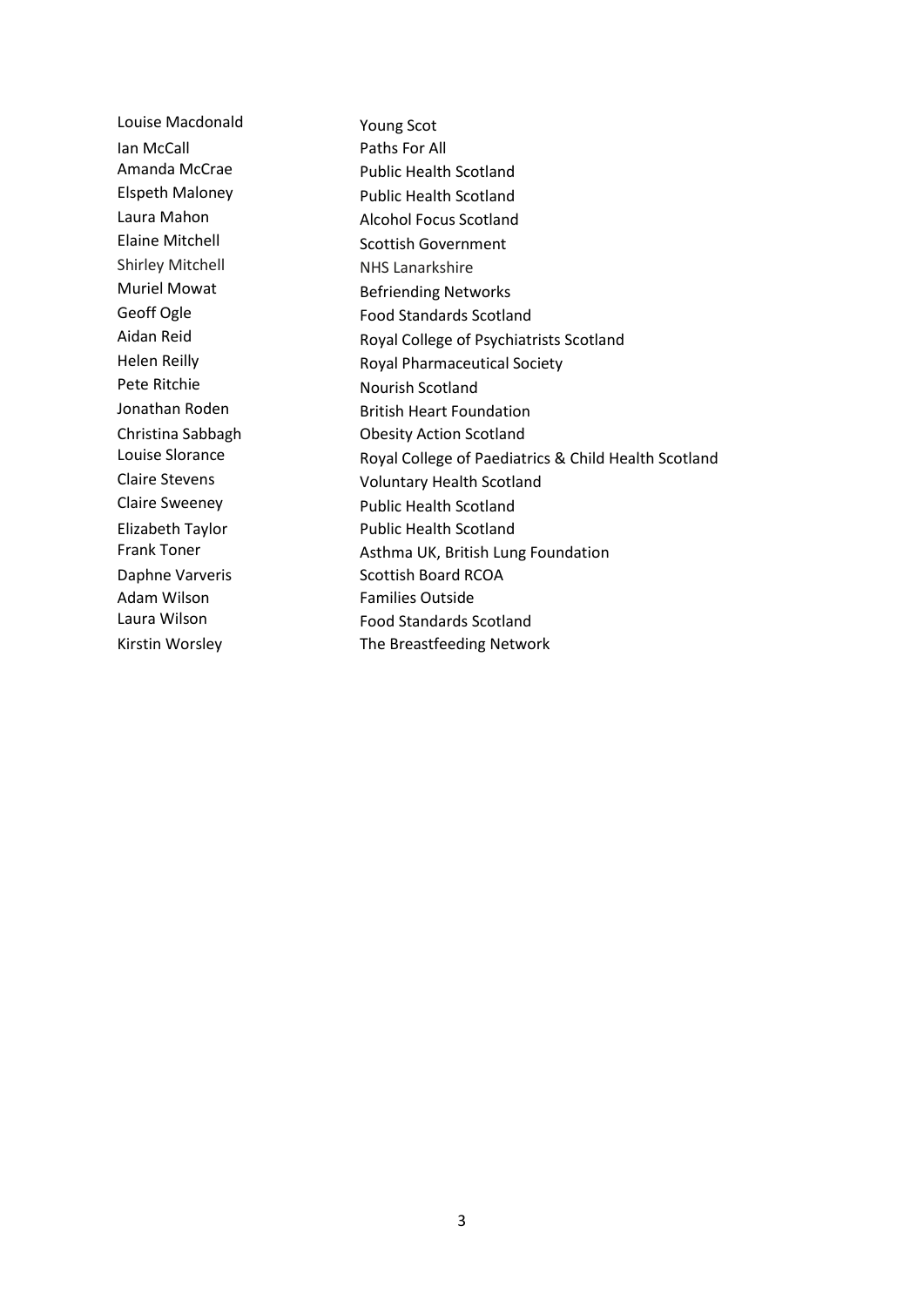Louise Macdonald Young Scot Ian McCall **Paths For All** Amanda McCrae Public Health Scotland Elspeth Maloney **Public Health Scotland** Laura Mahon **Alcohol Focus Scotland** Elaine Mitchell Scottish Government Shirley Mitchell NHS Lanarkshire Muriel Mowat Befriending Networks Geoff Ogle Food Standards Scotland Aidan Reid **Royal College of Psychiatrists Scotland** Helen Reilly **Royal Pharmaceutical Society** Pete Ritchie Nourish Scotland Jonathan Roden **British Heart Foundation** Christina Sabbagh Obesity Action Scotland Louise Slorance **Royal College of Paediatrics & Child Health Scotland** Claire Stevens Voluntary Health Scotland Claire Sweeney **Public Health Scotland** Elizabeth Taylor **Public Health Scotland** Frank Toner **Asthma UK, British Lung Foundation** Daphne Varveris Scottish Board RCOA Adam Wilson Families Outside Laura Wilson **Food Standards Scotland** Kirstin Worsley The Breastfeeding Network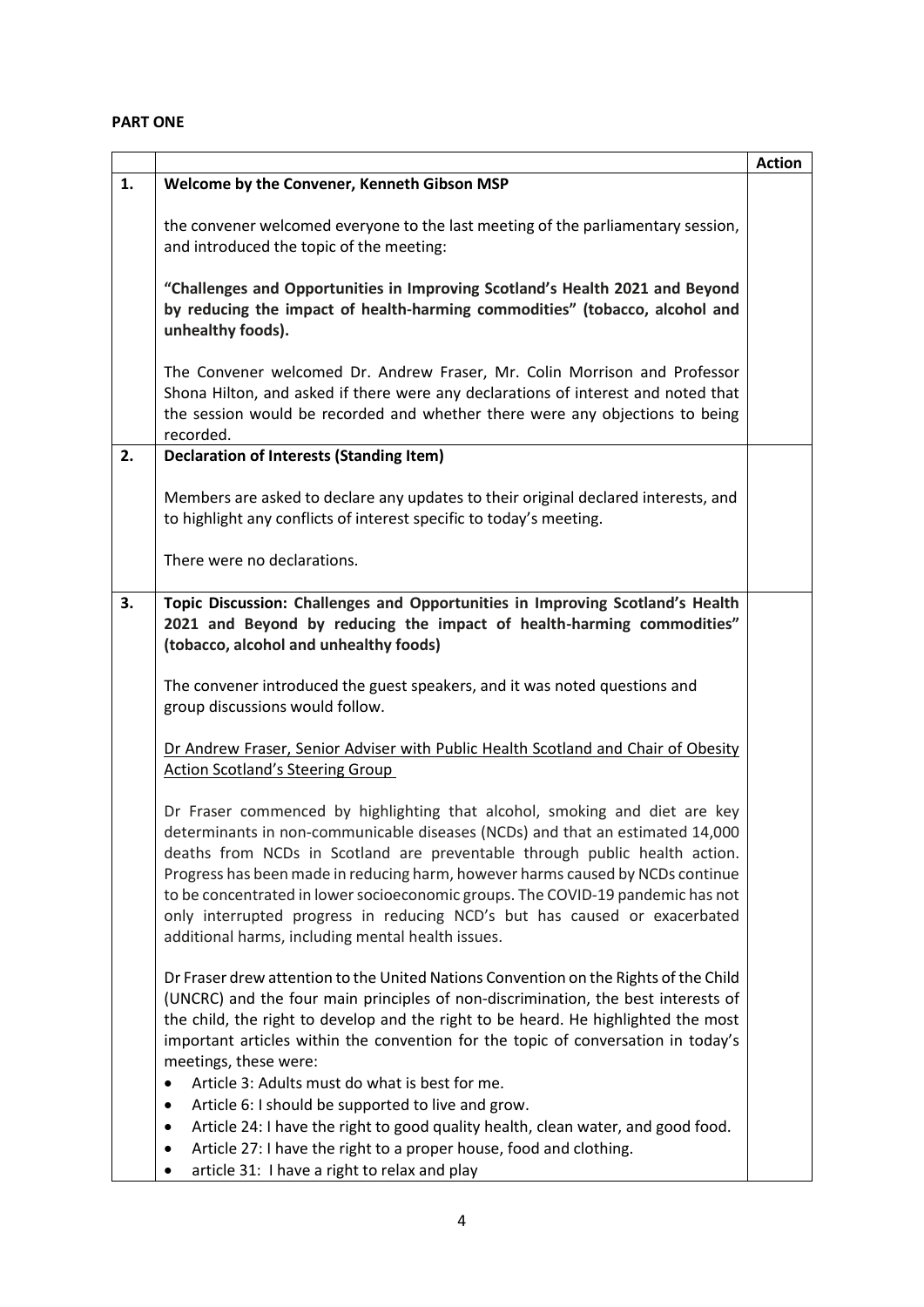# **PART ONE**

|    |                                                                                                                                                                                                                                                                                                                                                                                                                                                                                                                                                                                                                                                                                                      | <b>Action</b> |
|----|------------------------------------------------------------------------------------------------------------------------------------------------------------------------------------------------------------------------------------------------------------------------------------------------------------------------------------------------------------------------------------------------------------------------------------------------------------------------------------------------------------------------------------------------------------------------------------------------------------------------------------------------------------------------------------------------------|---------------|
| 1. | Welcome by the Convener, Kenneth Gibson MSP                                                                                                                                                                                                                                                                                                                                                                                                                                                                                                                                                                                                                                                          |               |
|    | the convener welcomed everyone to the last meeting of the parliamentary session,<br>and introduced the topic of the meeting:                                                                                                                                                                                                                                                                                                                                                                                                                                                                                                                                                                         |               |
|    | "Challenges and Opportunities in Improving Scotland's Health 2021 and Beyond<br>by reducing the impact of health-harming commodities" (tobacco, alcohol and<br>unhealthy foods).                                                                                                                                                                                                                                                                                                                                                                                                                                                                                                                     |               |
|    | The Convener welcomed Dr. Andrew Fraser, Mr. Colin Morrison and Professor<br>Shona Hilton, and asked if there were any declarations of interest and noted that<br>the session would be recorded and whether there were any objections to being<br>recorded.                                                                                                                                                                                                                                                                                                                                                                                                                                          |               |
| 2. | <b>Declaration of Interests (Standing Item)</b>                                                                                                                                                                                                                                                                                                                                                                                                                                                                                                                                                                                                                                                      |               |
|    | Members are asked to declare any updates to their original declared interests, and<br>to highlight any conflicts of interest specific to today's meeting.                                                                                                                                                                                                                                                                                                                                                                                                                                                                                                                                            |               |
|    | There were no declarations.                                                                                                                                                                                                                                                                                                                                                                                                                                                                                                                                                                                                                                                                          |               |
| 3. | Topic Discussion: Challenges and Opportunities in Improving Scotland's Health<br>2021 and Beyond by reducing the impact of health-harming commodities"<br>(tobacco, alcohol and unhealthy foods)                                                                                                                                                                                                                                                                                                                                                                                                                                                                                                     |               |
|    | The convener introduced the guest speakers, and it was noted questions and<br>group discussions would follow.                                                                                                                                                                                                                                                                                                                                                                                                                                                                                                                                                                                        |               |
|    | Dr Andrew Fraser, Senior Adviser with Public Health Scotland and Chair of Obesity                                                                                                                                                                                                                                                                                                                                                                                                                                                                                                                                                                                                                    |               |
|    | <b>Action Scotland's Steering Group</b>                                                                                                                                                                                                                                                                                                                                                                                                                                                                                                                                                                                                                                                              |               |
|    | Dr Fraser commenced by highlighting that alcohol, smoking and diet are key<br>determinants in non-communicable diseases (NCDs) and that an estimated 14,000<br>deaths from NCDs in Scotland are preventable through public health action.<br>Progress has been made in reducing harm, however harms caused by NCDs continue<br>to be concentrated in lower socioeconomic groups. The COVID-19 pandemic has not<br>only interrupted progress in reducing NCD's but has caused or exacerbated<br>additional harms, including mental health issues.                                                                                                                                                     |               |
|    | Dr Fraser drew attention to the United Nations Convention on the Rights of the Child<br>(UNCRC) and the four main principles of non-discrimination, the best interests of<br>the child, the right to develop and the right to be heard. He highlighted the most<br>important articles within the convention for the topic of conversation in today's<br>meetings, these were:<br>Article 3: Adults must do what is best for me.<br>Article 6: I should be supported to live and grow.<br>Article 24: I have the right to good quality health, clean water, and good food.<br>٠<br>Article 27: I have the right to a proper house, food and clothing.<br>article 31: I have a right to relax and play |               |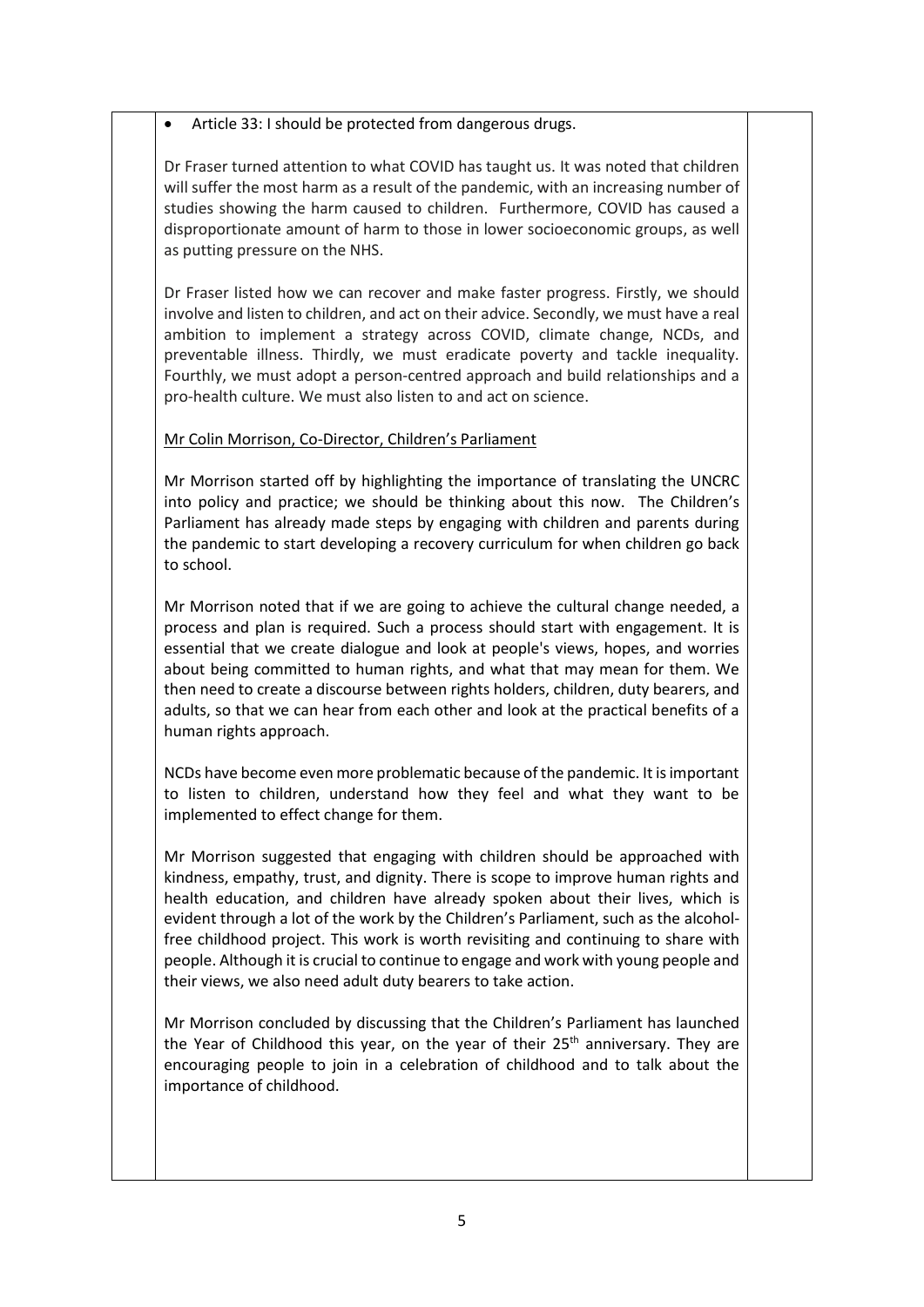# • Article 33: I should be protected from dangerous drugs.

Dr Fraser turned attention to what COVID has taught us. It was noted that children will suffer the most harm as a result of the pandemic, with an increasing number of studies showing the harm caused to children. Furthermore, COVID has caused a disproportionate amount of harm to those in lower socioeconomic groups, as well as putting pressure on the NHS.

Dr Fraser listed how we can recover and make faster progress. Firstly, we should involve and listen to children, and act on their advice. Secondly, we must have a real ambition to implement a strategy across COVID, climate change, NCDs, and preventable illness. Thirdly, we must eradicate poverty and tackle inequality. Fourthly, we must adopt a person-centred approach and build relationships and a pro-health culture. We must also listen to and act on science.

# Mr Colin Morrison, Co-Director, Children's Parliament

Mr Morrison started off by highlighting the importance of translating the UNCRC into policy and practice; we should be thinking about this now. The Children's Parliament has already made steps by engaging with children and parents during the pandemic to start developing a recovery curriculum for when children go back to school.

Mr Morrison noted that if we are going to achieve the cultural change needed, a process and plan is required. Such a process should start with engagement. It is essential that we create dialogue and look at people's views, hopes, and worries about being committed to human rights, and what that may mean for them. We then need to create a discourse between rights holders, children, duty bearers, and adults, so that we can hear from each other and look at the practical benefits of a human rights approach.

NCDs have become even more problematic because of the pandemic. It is important to listen to children, understand how they feel and what they want to be implemented to effect change for them.

Mr Morrison suggested that engaging with children should be approached with kindness, empathy, trust, and dignity. There is scope to improve human rights and health education, and children have already spoken about their lives, which is evident through a lot of the work by the Children's Parliament, such as the alcoholfree childhood project. This work is worth revisiting and continuing to share with people. Although it is crucial to continue to engage and work with young people and their views, we also need adult duty bearers to take action.

Mr Morrison concluded by discussing that the Children's Parliament has launched the Year of Childhood this year, on the year of their  $25<sup>th</sup>$  anniversary. They are encouraging people to join in a celebration of childhood and to talk about the importance of childhood.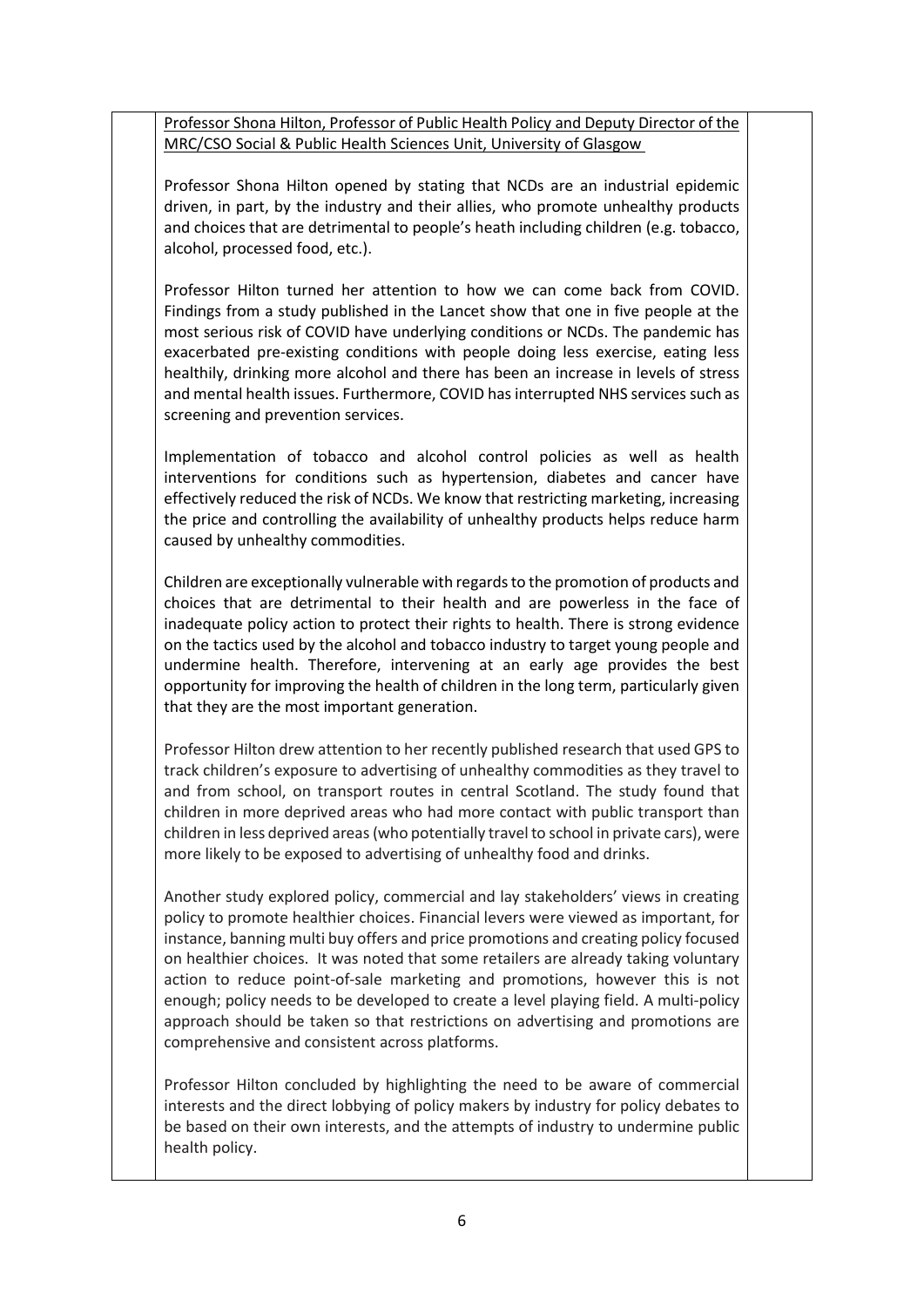Professor Shona Hilton, Professor of Public Health Policy and Deputy Director of the MRC/CSO Social & Public Health Sciences Unit, University of Glasgow

Professor Shona Hilton opened by stating that NCDs are an industrial epidemic driven, in part, by the industry and their allies, who promote unhealthy products and choices that are detrimental to people's heath including children (e.g. tobacco, alcohol, processed food, etc.).

Professor Hilton turned her attention to how we can come back from COVID. Findings from a study published in the Lancet show that one in five people at the most serious risk of COVID have underlying conditions or NCDs. The pandemic has exacerbated pre-existing conditions with people doing less exercise, eating less healthily, drinking more alcohol and there has been an increase in levels of stress and mental health issues. Furthermore, COVID has interrupted NHS services such as screening and prevention services.

Implementation of tobacco and alcohol control policies as well as health interventions for conditions such as hypertension, diabetes and cancer have effectively reduced the risk of NCDs. We know that restricting marketing, increasing the price and controlling the availability of unhealthy products helps reduce harm caused by unhealthy commodities.

Children are exceptionally vulnerable with regards to the promotion of products and choices that are detrimental to their health and are powerless in the face of inadequate policy action to protect their rights to health. There is strong evidence on the tactics used by the alcohol and tobacco industry to target young people and undermine health. Therefore, intervening at an early age provides the best opportunity for improving the health of children in the long term, particularly given that they are the most important generation.

Professor Hilton drew attention to her recently published research that used GPS to track children's exposure to advertising of unhealthy commodities as they travel to and from school, on transport routes in central Scotland. The study found that children in more deprived areas who had more contact with public transport than children in less deprived areas (who potentially travel to school in private cars), were more likely to be exposed to advertising of unhealthy food and drinks.

Another study explored policy, commercial and lay stakeholders' views in creating policy to promote healthier choices. Financial levers were viewed as important, for instance, banning multi buy offers and price promotions and creating policy focused on healthier choices. It was noted that some retailers are already taking voluntary action to reduce point-of-sale marketing and promotions, however this is not enough; policy needs to be developed to create a level playing field. A multi-policy approach should be taken so that restrictions on advertising and promotions are comprehensive and consistent across platforms.

Professor Hilton concluded by highlighting the need to be aware of commercial interests and the direct lobbying of policy makers by industry for policy debates to be based on their own interests, and the attempts of industry to undermine public health policy.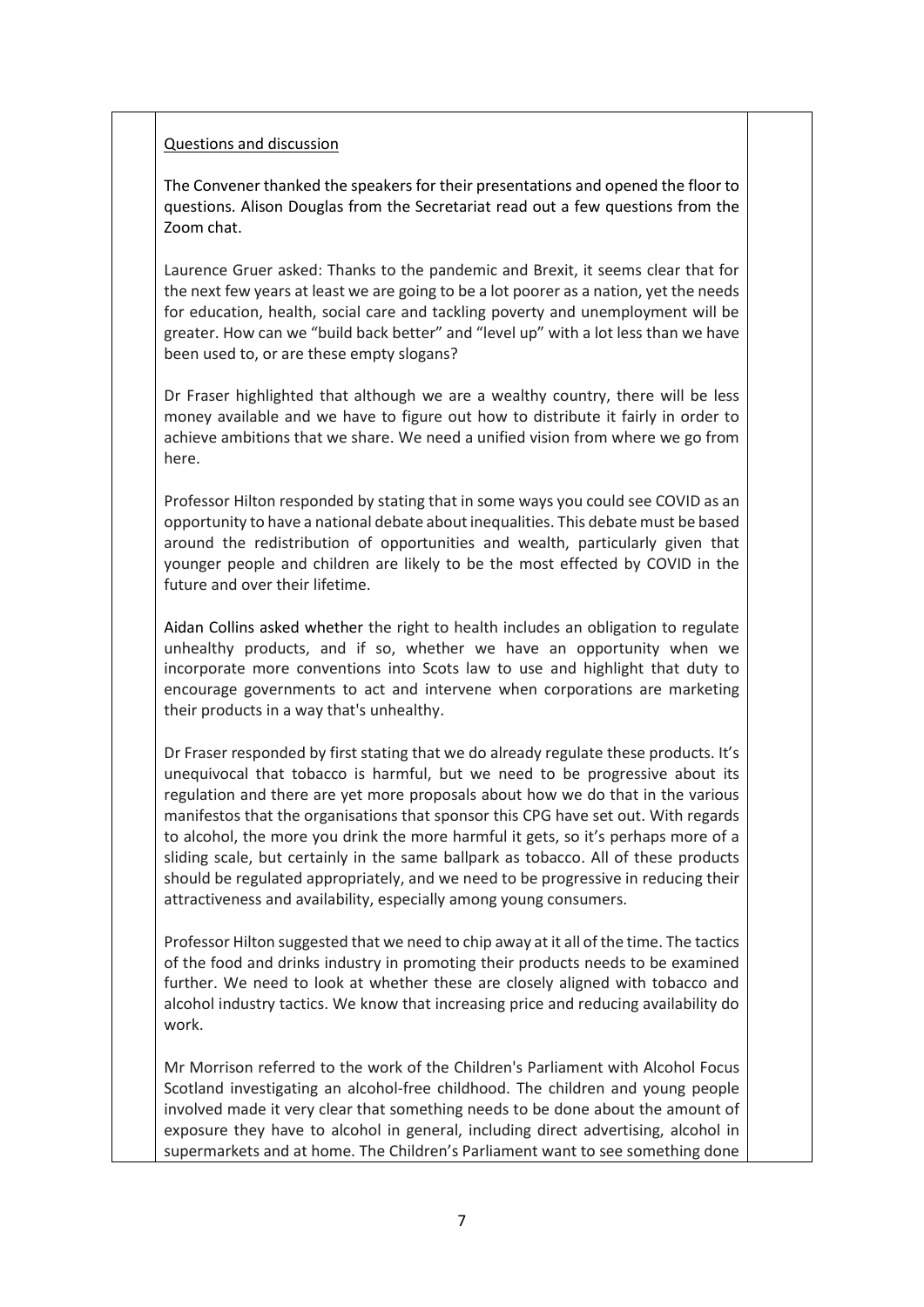# Questions and discussion

The Convener thanked the speakers for their presentations and opened the floor to questions. Alison Douglas from the Secretariat read out a few questions from the Zoom chat.

Laurence Gruer asked: Thanks to the pandemic and Brexit, it seems clear that for the next few years at least we are going to be a lot poorer as a nation, yet the needs for education, health, social care and tackling poverty and unemployment will be greater. How can we "build back better" and "level up" with a lot less than we have been used to, or are these empty slogans?

Dr Fraser highlighted that although we are a wealthy country, there will be less money available and we have to figure out how to distribute it fairly in order to achieve ambitions that we share. We need a unified vision from where we go from here.

Professor Hilton responded by stating that in some ways you could see COVID as an opportunity to have a national debate about inequalities. This debate must be based around the redistribution of opportunities and wealth, particularly given that younger people and children are likely to be the most effected by COVID in the future and over their lifetime.

Aidan Collins asked whether the right to health includes an obligation to regulate unhealthy products, and if so, whether we have an opportunity when we incorporate more conventions into Scots law to use and highlight that duty to encourage governments to act and intervene when corporations are marketing their products in a way that's unhealthy.

Dr Fraser responded by first stating that we do already regulate these products. It's unequivocal that tobacco is harmful, but we need to be progressive about its regulation and there are yet more proposals about how we do that in the various manifestos that the organisations that sponsor this CPG have set out. With regards to alcohol, the more you drink the more harmful it gets, so it's perhaps more of a sliding scale, but certainly in the same ballpark as tobacco. All of these products should be regulated appropriately, and we need to be progressive in reducing their attractiveness and availability, especially among young consumers.

Professor Hilton suggested that we need to chip away at it all of the time. The tactics of the food and drinks industry in promoting their products needs to be examined further. We need to look at whether these are closely aligned with tobacco and alcohol industry tactics. We know that increasing price and reducing availability do work.

Mr Morrison referred to the work of the Children's Parliament with Alcohol Focus Scotland investigating an alcohol-free childhood. The children and young people involved made it very clear that something needs to be done about the amount of exposure they have to alcohol in general, including direct advertising, alcohol in supermarkets and at home. The Children's Parliament want to see something done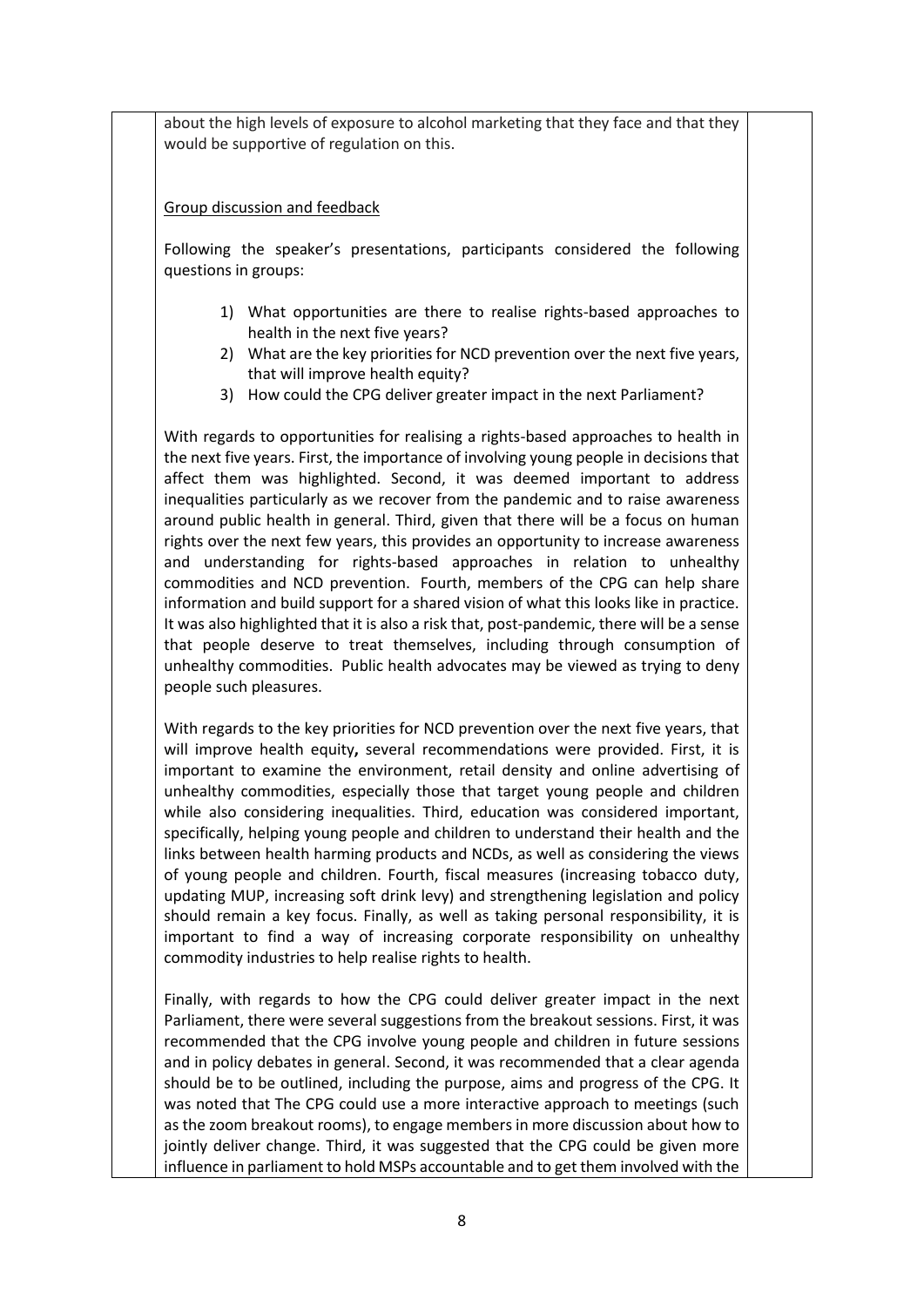about the high levels of exposure to alcohol marketing that they face and that they would be supportive of regulation on this.

Group discussion and feedback

Following the speaker's presentations, participants considered the following questions in groups:

- 1) What opportunities are there to realise rights-based approaches to health in the next five years?
- 2) What are the key priorities for NCD prevention over the next five years, that will improve health equity?
- 3) How could the CPG deliver greater impact in the next Parliament?

With regards to opportunities for realising a rights-based approaches to health in the next five years. First, the importance of involving young people in decisions that affect them was highlighted. Second, it was deemed important to address inequalities particularly as we recover from the pandemic and to raise awareness around public health in general. Third, given that there will be a focus on human rights over the next few years, this provides an opportunity to increase awareness and understanding for rights-based approaches in relation to unhealthy commodities and NCD prevention. Fourth, members of the CPG can help share information and build support for a shared vision of what this looks like in practice. It was also highlighted that it is also a risk that, post-pandemic, there will be a sense that people deserve to treat themselves, including through consumption of unhealthy commodities. Public health advocates may be viewed as trying to deny people such pleasures.

With regards to the key priorities for NCD prevention over the next five years, that will improve health equity**,** several recommendations were provided. First, it is important to examine the environment, retail density and online advertising of unhealthy commodities, especially those that target young people and children while also considering inequalities. Third, education was considered important, specifically, helping young people and children to understand their health and the links between health harming products and NCDs, as well as considering the views of young people and children. Fourth, fiscal measures (increasing tobacco duty, updating MUP, increasing soft drink levy) and strengthening legislation and policy should remain a key focus. Finally, as well as taking personal responsibility, it is important to find a way of increasing corporate responsibility on unhealthy commodity industries to help realise rights to health.

Finally, with regards to how the CPG could deliver greater impact in the next Parliament, there were several suggestions from the breakout sessions. First, it was recommended that the CPG involve young people and children in future sessions and in policy debates in general. Second, it was recommended that a clear agenda should be to be outlined, including the purpose, aims and progress of the CPG. It was noted that The CPG could use a more interactive approach to meetings (such as the zoom breakout rooms), to engage members in more discussion about how to jointly deliver change. Third, it was suggested that the CPG could be given more influence in parliament to hold MSPs accountable and to get them involved with the